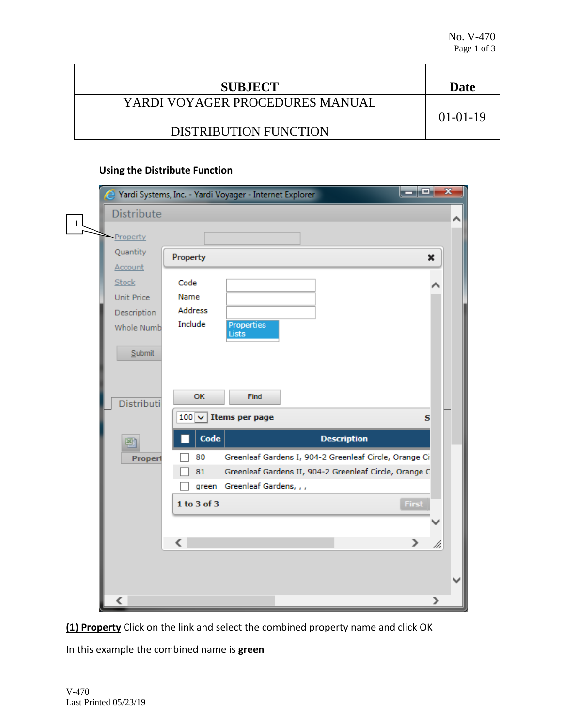| <b>SUBJECT</b>                  | Date           |
|---------------------------------|----------------|
| YARDI VOYAGER PROCEDURES MANUAL |                |
| <b>DISTRIBUTION FUNCTION</b>    | $01 - 01 - 19$ |

## **Using the Distribute Function**

|              | 속                         | Yardi Systems, Inc. - Yardi Voyager - Internet Explorer | ا دادا                                                 | $\mathbf{x}$ |
|--------------|---------------------------|---------------------------------------------------------|--------------------------------------------------------|--------------|
| $\mathbf{1}$ | Distribute                |                                                         |                                                        |              |
|              | Property                  |                                                         |                                                        |              |
|              | Quantity                  | Property                                                | ×                                                      |              |
|              | Account                   |                                                         |                                                        |              |
|              | <b>Stock</b>              | Code                                                    |                                                        |              |
|              | Unit Price                | Name<br>Address                                         |                                                        |              |
|              | Description<br>Whole Numb | Include<br><b>Properties</b>                            |                                                        |              |
|              |                           | Lists                                                   |                                                        |              |
|              | Submit                    |                                                         |                                                        |              |
|              |                           |                                                         |                                                        |              |
|              |                           |                                                         |                                                        |              |
|              | Distributi                | OK<br><b>Find</b>                                       |                                                        |              |
|              |                           | $100$ $\vee$ Items per page                             | s                                                      |              |
|              | 剛                         | Code                                                    | <b>Description</b>                                     |              |
|              | Properl                   | 80                                                      | Greenleaf Gardens I, 904-2 Greenleaf Circle, Orange Ci |              |
|              |                           | 81                                                      | Greenleaf Gardens II, 904-2 Greenleaf Circle, Orange C |              |
|              |                           | green Greenleaf Gardens, , ,                            |                                                        |              |
|              |                           | 1 to 3 of 3                                             | First                                                  |              |
|              |                           |                                                         |                                                        |              |
|              |                           | ∢                                                       | $\mathcal{P}$<br>/i.                                   |              |
|              |                           |                                                         |                                                        |              |
|              |                           |                                                         |                                                        |              |
|              |                           |                                                         |                                                        |              |
|              | ⋖                         |                                                         |                                                        |              |

**(1) Property** Click on the link and select the combined property name and click OK

In this example the combined name is **green**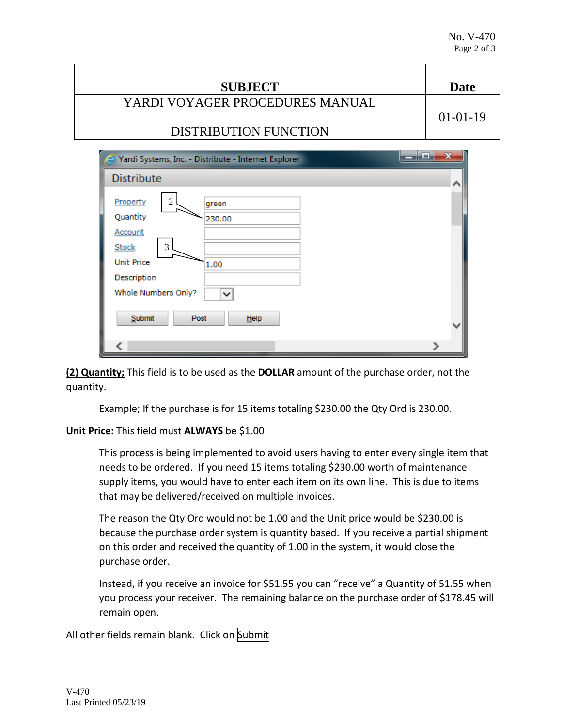| <b>SUBJECT</b>                  | Date           |
|---------------------------------|----------------|
| YARDI VOYAGER PROCEDURES MANUAL |                |
|                                 | $01 - 01 - 19$ |
| <b>DISTRIBUTION FUNCTION</b>    |                |
|                                 |                |

| an B<br>Yardi Systems, Inc. - Distribute - Internet Explorer | $\overline{\mathbf{x}}$ |
|--------------------------------------------------------------|-------------------------|
| <b>Distribute</b>                                            | ∧                       |
| Property<br>$\overline{c}$<br>green                          |                         |
| Quantity<br>230.00<br>Account                                |                         |
| $\mathfrak{Z}$<br><b>Stock</b><br><b>Unit Price</b><br>1.00  |                         |
| Description<br>Whole Numbers Only?<br>$\checkmark$           |                         |
| Submit<br>Post<br>$He$ lp                                    |                         |
|                                                              |                         |

**(2) Quantity;** This field is to be used as the **DOLLAR** amount of the purchase order, not the quantity.

Example; If the purchase is for 15 items totaling \$230.00 the Qty Ord is 230.00.

## **Unit Price:** This field must **ALWAYS** be \$1.00

This process is being implemented to avoid users having to enter every single item that needs to be ordered. If you need 15 items totaling \$230.00 worth of maintenance supply items, you would have to enter each item on its own line. This is due to items that may be delivered/received on multiple invoices.

The reason the Qty Ord would not be 1.00 and the Unit price would be \$230.00 is because the purchase order system is quantity based. If you receive a partial shipment on this order and received the quantity of 1.00 in the system, it would close the purchase order.

Instead, if you receive an invoice for \$51.55 you can "receive" a Quantity of 51.55 when you process your receiver. The remaining balance on the purchase order of \$178.45 will remain open.

All other fields remain blank. Click on Submit